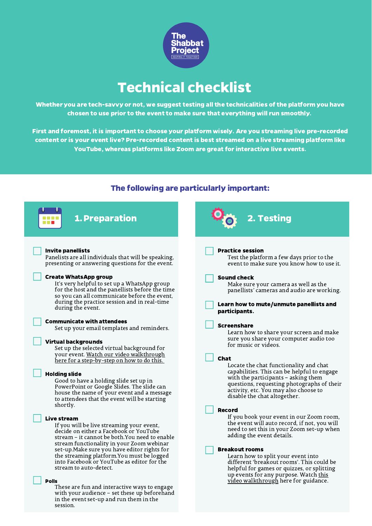

# Technical checklist

Whether you are tech-savvy or not, we suggest testing all the technicalities of the platform you have chosen to use prior to the event to make sure that everything will run smoothly.

First and foremost, it is important to choose your platform wisely. Are you streaming live pre-recorded content or is your event live? Pre-recorded content is best streamed on a live streaming platform like YouTube, whereas platforms like Zoom are great for interactive live events.

### The following are particularly important: